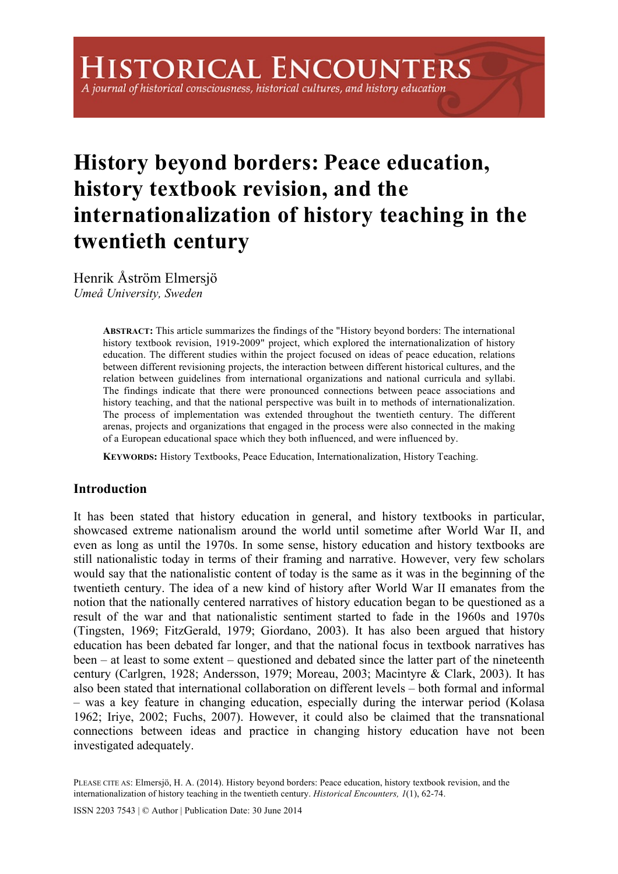A journal of historical consciousness, historical cultures, and history education

# **History beyond borders: Peace education, history textbook revision, and the internationalization of history teaching in the twentieth century**

Henrik Åström Elmersjö *Umeå University, Sweden*

> **ABSTRACT:** This article summarizes the findings of the "History beyond borders: The international history textbook revision, 1919-2009" project, which explored the internationalization of history education. The different studies within the project focused on ideas of peace education, relations between different revisioning projects, the interaction between different historical cultures, and the relation between guidelines from international organizations and national curricula and syllabi. The findings indicate that there were pronounced connections between peace associations and history teaching, and that the national perspective was built in to methods of internationalization. The process of implementation was extended throughout the twentieth century. The different arenas, projects and organizations that engaged in the process were also connected in the making of a European educational space which they both influenced, and were influenced by.

**KEYWORDS:** History Textbooks, Peace Education, Internationalization, History Teaching.

## **Introduction**

It has been stated that history education in general, and history textbooks in particular, showcased extreme nationalism around the world until sometime after World War II, and even as long as until the 1970s. In some sense, history education and history textbooks are still nationalistic today in terms of their framing and narrative. However, very few scholars would say that the nationalistic content of today is the same as it was in the beginning of the twentieth century. The idea of a new kind of history after World War II emanates from the notion that the nationally centered narratives of history education began to be questioned as a result of the war and that nationalistic sentiment started to fade in the 1960s and 1970s (Tingsten, 1969; FitzGerald, 1979; Giordano, 2003). It has also been argued that history education has been debated far longer, and that the national focus in textbook narratives has been – at least to some extent – questioned and debated since the latter part of the nineteenth century (Carlgren, 1928; Andersson, 1979; Moreau, 2003; Macintyre & Clark, 2003). It has also been stated that international collaboration on different levels – both formal and informal – was a key feature in changing education, especially during the interwar period (Kolasa 1962; Iriye, 2002; Fuchs, 2007). However, it could also be claimed that the transnational connections between ideas and practice in changing history education have not been investigated adequately.

PLEASE CITE AS: Elmersjö, H. A. (2014). History beyond borders: Peace education, history textbook revision, and the internationalization of history teaching in the twentieth century. *Historical Encounters, 1*(1), 62-74.

ISSN 2203 7543 | © Author | Publication Date: 30 June 2014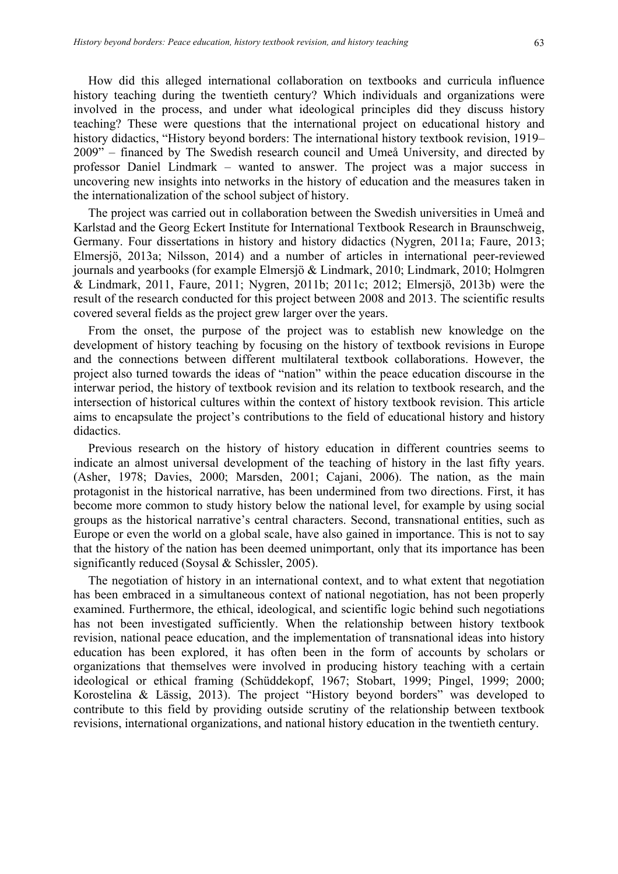How did this alleged international collaboration on textbooks and curricula influence history teaching during the twentieth century? Which individuals and organizations were involved in the process, and under what ideological principles did they discuss history teaching? These were questions that the international project on educational history and history didactics, "History beyond borders: The international history textbook revision, 1919– 2009" – financed by The Swedish research council and Umeå University, and directed by professor Daniel Lindmark – wanted to answer. The project was a major success in uncovering new insights into networks in the history of education and the measures taken in the internationalization of the school subject of history.

The project was carried out in collaboration between the Swedish universities in Umeå and Karlstad and the Georg Eckert Institute for International Textbook Research in Braunschweig, Germany. Four dissertations in history and history didactics (Nygren, 2011a; Faure, 2013; Elmersjö, 2013a; Nilsson, 2014) and a number of articles in international peer-reviewed journals and yearbooks (for example Elmersjö & Lindmark, 2010; Lindmark, 2010; Holmgren & Lindmark, 2011, Faure, 2011; Nygren, 2011b; 2011c; 2012; Elmersjö, 2013b) were the result of the research conducted for this project between 2008 and 2013. The scientific results covered several fields as the project grew larger over the years.

From the onset, the purpose of the project was to establish new knowledge on the development of history teaching by focusing on the history of textbook revisions in Europe and the connections between different multilateral textbook collaborations. However, the project also turned towards the ideas of "nation" within the peace education discourse in the interwar period, the history of textbook revision and its relation to textbook research, and the intersection of historical cultures within the context of history textbook revision. This article aims to encapsulate the project's contributions to the field of educational history and history didactics.

Previous research on the history of history education in different countries seems to indicate an almost universal development of the teaching of history in the last fifty years. (Asher, 1978; Davies, 2000; Marsden, 2001; Cajani, 2006). The nation, as the main protagonist in the historical narrative, has been undermined from two directions. First, it has become more common to study history below the national level, for example by using social groups as the historical narrative's central characters. Second, transnational entities, such as Europe or even the world on a global scale, have also gained in importance. This is not to say that the history of the nation has been deemed unimportant, only that its importance has been significantly reduced (Soysal & Schissler, 2005).

The negotiation of history in an international context, and to what extent that negotiation has been embraced in a simultaneous context of national negotiation, has not been properly examined. Furthermore, the ethical, ideological, and scientific logic behind such negotiations has not been investigated sufficiently. When the relationship between history textbook revision, national peace education, and the implementation of transnational ideas into history education has been explored, it has often been in the form of accounts by scholars or organizations that themselves were involved in producing history teaching with a certain ideological or ethical framing (Schüddekopf, 1967; Stobart, 1999; Pingel, 1999; 2000; Korostelina & Lässig, 2013). The project "History beyond borders" was developed to contribute to this field by providing outside scrutiny of the relationship between textbook revisions, international organizations, and national history education in the twentieth century.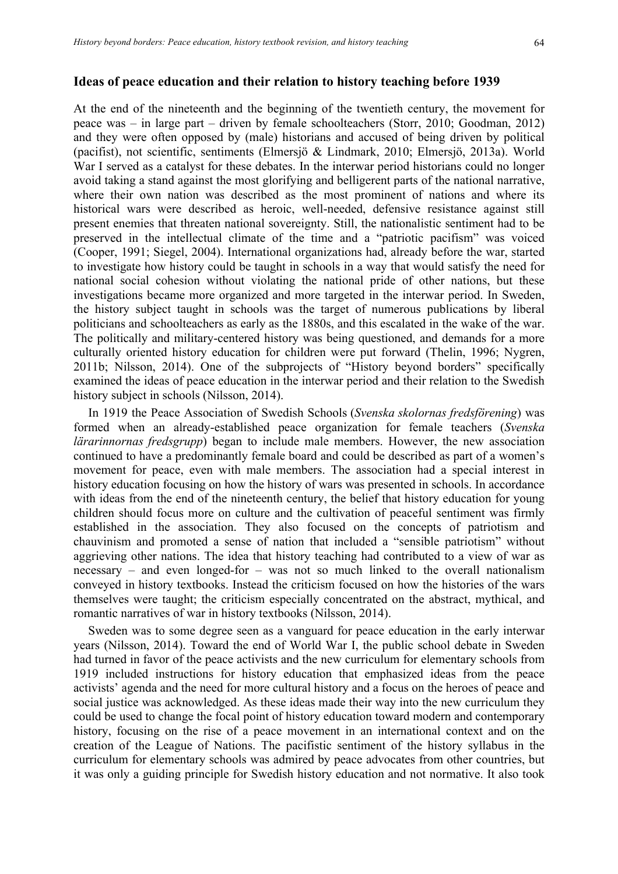#### **Ideas of peace education and their relation to history teaching before 1939**

At the end of the nineteenth and the beginning of the twentieth century, the movement for peace was – in large part – driven by female schoolteachers (Storr, 2010; Goodman, 2012) and they were often opposed by (male) historians and accused of being driven by political (pacifist), not scientific, sentiments (Elmersjö & Lindmark, 2010; Elmersjö, 2013a). World War I served as a catalyst for these debates. In the interwar period historians could no longer avoid taking a stand against the most glorifying and belligerent parts of the national narrative, where their own nation was described as the most prominent of nations and where its historical wars were described as heroic, well-needed, defensive resistance against still present enemies that threaten national sovereignty. Still, the nationalistic sentiment had to be preserved in the intellectual climate of the time and a "patriotic pacifism" was voiced (Cooper, 1991; Siegel, 2004). International organizations had, already before the war, started to investigate how history could be taught in schools in a way that would satisfy the need for national social cohesion without violating the national pride of other nations, but these investigations became more organized and more targeted in the interwar period. In Sweden, the history subject taught in schools was the target of numerous publications by liberal politicians and schoolteachers as early as the 1880s, and this escalated in the wake of the war. The politically and military-centered history was being questioned, and demands for a more culturally oriented history education for children were put forward (Thelin, 1996; Nygren, 2011b; Nilsson, 2014). One of the subprojects of "History beyond borders" specifically examined the ideas of peace education in the interwar period and their relation to the Swedish history subject in schools (Nilsson, 2014).

In 1919 the Peace Association of Swedish Schools (*Svenska skolornas fredsförening*) was formed when an already-established peace organization for female teachers (*Svenska lärarinnornas fredsgrupp*) began to include male members. However, the new association continued to have a predominantly female board and could be described as part of a women's movement for peace, even with male members. The association had a special interest in history education focusing on how the history of wars was presented in schools. In accordance with ideas from the end of the nineteenth century, the belief that history education for young children should focus more on culture and the cultivation of peaceful sentiment was firmly established in the association. They also focused on the concepts of patriotism and chauvinism and promoted a sense of nation that included a "sensible patriotism" without aggrieving other nations. The idea that history teaching had contributed to a view of war as necessary – and even longed-for – was not so much linked to the overall nationalism conveyed in history textbooks. Instead the criticism focused on how the histories of the wars themselves were taught; the criticism especially concentrated on the abstract, mythical, and romantic narratives of war in history textbooks (Nilsson, 2014).

Sweden was to some degree seen as a vanguard for peace education in the early interwar years (Nilsson, 2014). Toward the end of World War I, the public school debate in Sweden had turned in favor of the peace activists and the new curriculum for elementary schools from 1919 included instructions for history education that emphasized ideas from the peace activists' agenda and the need for more cultural history and a focus on the heroes of peace and social justice was acknowledged. As these ideas made their way into the new curriculum they could be used to change the focal point of history education toward modern and contemporary history, focusing on the rise of a peace movement in an international context and on the creation of the League of Nations. The pacifistic sentiment of the history syllabus in the curriculum for elementary schools was admired by peace advocates from other countries, but it was only a guiding principle for Swedish history education and not normative. It also took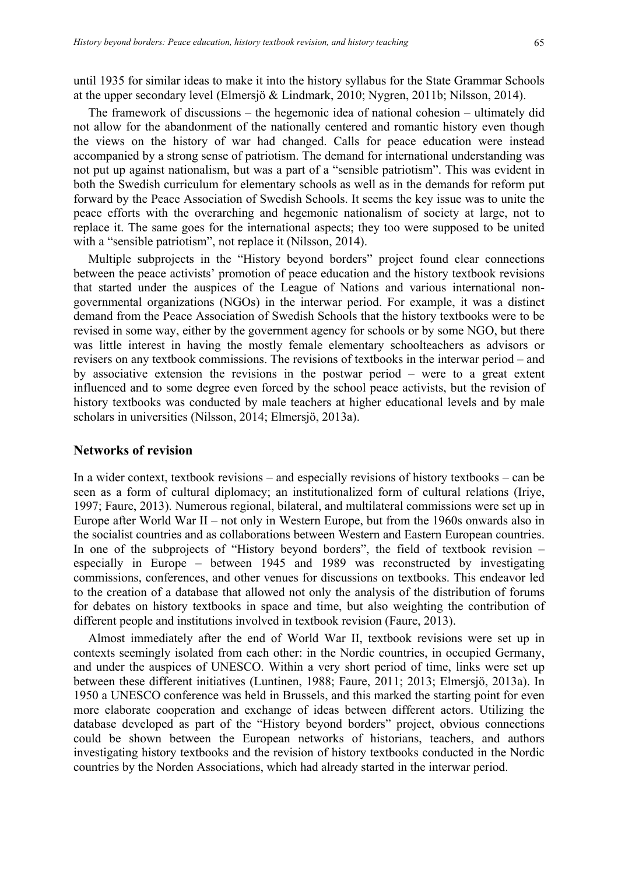until 1935 for similar ideas to make it into the history syllabus for the State Grammar Schools at the upper secondary level (Elmersjö & Lindmark, 2010; Nygren, 2011b; Nilsson, 2014).

The framework of discussions – the hegemonic idea of national cohesion – ultimately did not allow for the abandonment of the nationally centered and romantic history even though the views on the history of war had changed. Calls for peace education were instead accompanied by a strong sense of patriotism. The demand for international understanding was not put up against nationalism, but was a part of a "sensible patriotism". This was evident in both the Swedish curriculum for elementary schools as well as in the demands for reform put forward by the Peace Association of Swedish Schools. It seems the key issue was to unite the peace efforts with the overarching and hegemonic nationalism of society at large, not to replace it. The same goes for the international aspects; they too were supposed to be united with a "sensible patriotism", not replace it (Nilsson, 2014).

Multiple subprojects in the "History beyond borders" project found clear connections between the peace activists' promotion of peace education and the history textbook revisions that started under the auspices of the League of Nations and various international nongovernmental organizations (NGOs) in the interwar period. For example, it was a distinct demand from the Peace Association of Swedish Schools that the history textbooks were to be revised in some way, either by the government agency for schools or by some NGO, but there was little interest in having the mostly female elementary schoolteachers as advisors or revisers on any textbook commissions. The revisions of textbooks in the interwar period – and by associative extension the revisions in the postwar period – were to a great extent influenced and to some degree even forced by the school peace activists, but the revision of history textbooks was conducted by male teachers at higher educational levels and by male scholars in universities (Nilsson, 2014; Elmersjö, 2013a).

#### **Networks of revision**

In a wider context, textbook revisions – and especially revisions of history textbooks – can be seen as a form of cultural diplomacy; an institutionalized form of cultural relations (Iriye, 1997; Faure, 2013). Numerous regional, bilateral, and multilateral commissions were set up in Europe after World War II – not only in Western Europe, but from the 1960s onwards also in the socialist countries and as collaborations between Western and Eastern European countries. In one of the subprojects of "History beyond borders", the field of textbook revision – especially in Europe – between 1945 and 1989 was reconstructed by investigating commissions, conferences, and other venues for discussions on textbooks. This endeavor led to the creation of a database that allowed not only the analysis of the distribution of forums for debates on history textbooks in space and time, but also weighting the contribution of different people and institutions involved in textbook revision (Faure, 2013).

Almost immediately after the end of World War II, textbook revisions were set up in contexts seemingly isolated from each other: in the Nordic countries, in occupied Germany, and under the auspices of UNESCO. Within a very short period of time, links were set up between these different initiatives (Luntinen, 1988; Faure, 2011; 2013; Elmersjö, 2013a). In 1950 a UNESCO conference was held in Brussels, and this marked the starting point for even more elaborate cooperation and exchange of ideas between different actors. Utilizing the database developed as part of the "History beyond borders" project, obvious connections could be shown between the European networks of historians, teachers, and authors investigating history textbooks and the revision of history textbooks conducted in the Nordic countries by the Norden Associations, which had already started in the interwar period.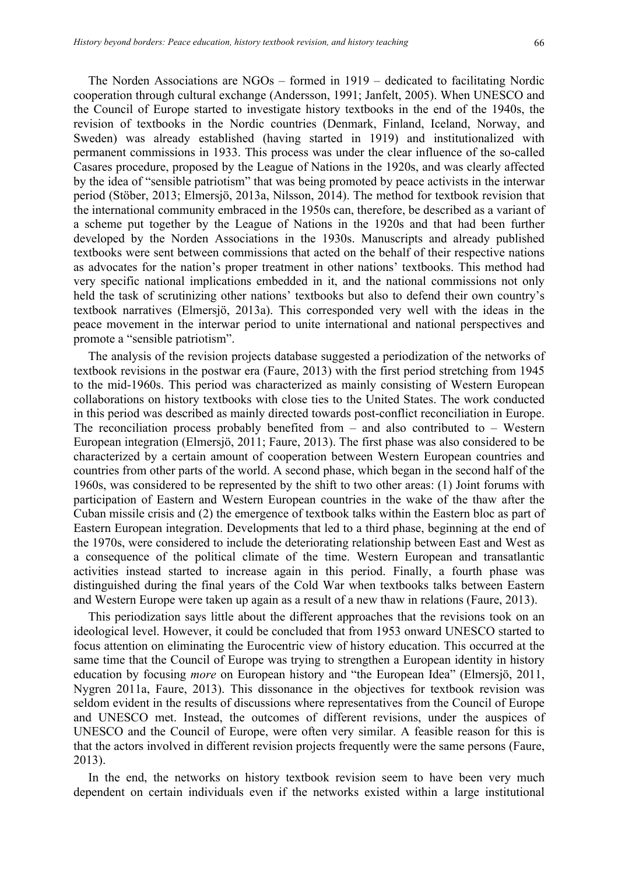The Norden Associations are NGOs – formed in 1919 – dedicated to facilitating Nordic cooperation through cultural exchange (Andersson, 1991; Janfelt, 2005). When UNESCO and the Council of Europe started to investigate history textbooks in the end of the 1940s, the revision of textbooks in the Nordic countries (Denmark, Finland, Iceland, Norway, and Sweden) was already established (having started in 1919) and institutionalized with permanent commissions in 1933. This process was under the clear influence of the so-called Casares procedure, proposed by the League of Nations in the 1920s, and was clearly affected by the idea of "sensible patriotism" that was being promoted by peace activists in the interwar period (Stöber, 2013; Elmersjö, 2013a, Nilsson, 2014). The method for textbook revision that the international community embraced in the 1950s can, therefore, be described as a variant of a scheme put together by the League of Nations in the 1920s and that had been further developed by the Norden Associations in the 1930s. Manuscripts and already published textbooks were sent between commissions that acted on the behalf of their respective nations as advocates for the nation's proper treatment in other nations' textbooks. This method had very specific national implications embedded in it, and the national commissions not only held the task of scrutinizing other nations' textbooks but also to defend their own country's textbook narratives (Elmersjö, 2013a). This corresponded very well with the ideas in the peace movement in the interwar period to unite international and national perspectives and promote a "sensible patriotism".

The analysis of the revision projects database suggested a periodization of the networks of textbook revisions in the postwar era (Faure, 2013) with the first period stretching from 1945 to the mid-1960s. This period was characterized as mainly consisting of Western European collaborations on history textbooks with close ties to the United States. The work conducted in this period was described as mainly directed towards post-conflict reconciliation in Europe. The reconciliation process probably benefited from – and also contributed to – Western European integration (Elmersjö, 2011; Faure, 2013). The first phase was also considered to be characterized by a certain amount of cooperation between Western European countries and countries from other parts of the world. A second phase, which began in the second half of the 1960s, was considered to be represented by the shift to two other areas: (1) Joint forums with participation of Eastern and Western European countries in the wake of the thaw after the Cuban missile crisis and (2) the emergence of textbook talks within the Eastern bloc as part of Eastern European integration. Developments that led to a third phase, beginning at the end of the 1970s, were considered to include the deteriorating relationship between East and West as a consequence of the political climate of the time. Western European and transatlantic activities instead started to increase again in this period. Finally, a fourth phase was distinguished during the final years of the Cold War when textbooks talks between Eastern and Western Europe were taken up again as a result of a new thaw in relations (Faure, 2013).

This periodization says little about the different approaches that the revisions took on an ideological level. However, it could be concluded that from 1953 onward UNESCO started to focus attention on eliminating the Eurocentric view of history education. This occurred at the same time that the Council of Europe was trying to strengthen a European identity in history education by focusing *more* on European history and "the European Idea" (Elmersjö, 2011, Nygren 2011a, Faure, 2013). This dissonance in the objectives for textbook revision was seldom evident in the results of discussions where representatives from the Council of Europe and UNESCO met. Instead, the outcomes of different revisions, under the auspices of UNESCO and the Council of Europe, were often very similar. A feasible reason for this is that the actors involved in different revision projects frequently were the same persons (Faure, 2013).

In the end, the networks on history textbook revision seem to have been very much dependent on certain individuals even if the networks existed within a large institutional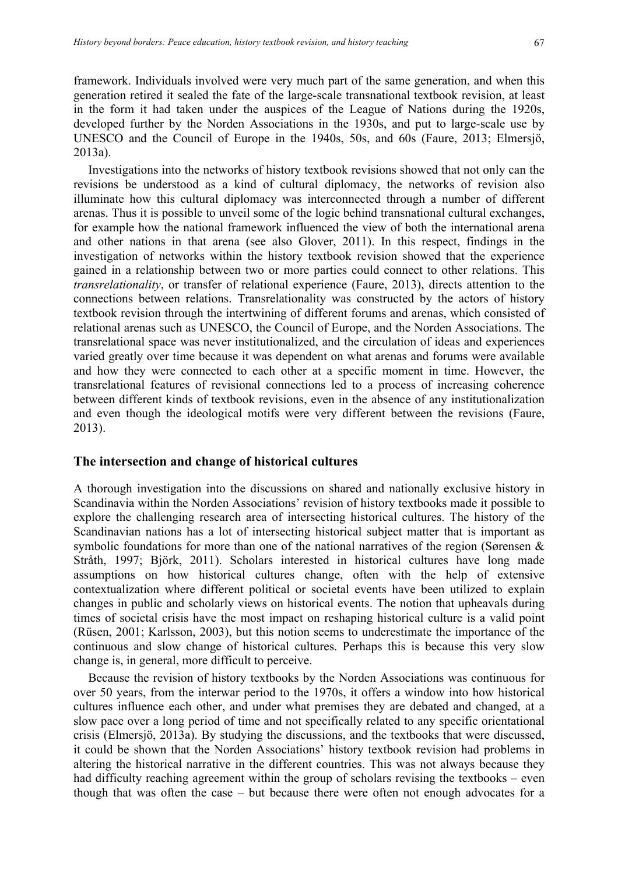framework. Individuals involved were very much part of the same generation, and when this generation retired it sealed the fate of the large-scale transnational textbook revision, at least in the form it had taken under the auspices of the League of Nations during the 1920s, developed further by the Norden Associations in the 1930s, and put to large-scale use by UNESCO and the Council of Europe in the 1940s, 50s, and 60s (Faure, 2013; Elmersjö, 2013a).

Investigations into the networks of history textbook revisions showed that not only can the revisions be understood as a kind of cultural diplomacy, the networks of revision also illuminate how this cultural diplomacy was interconnected through a number of different arenas. Thus it is possible to unveil some of the logic behind transnational cultural exchanges, for example how the national framework influenced the view of both the international arena and other nations in that arena (see also Glover, 2011). In this respect, findings in the investigation of networks within the history textbook revision showed that the experience gained in a relationship between two or more parties could connect to other relations. This *transrelationality*, or transfer of relational experience (Faure, 2013), directs attention to the connections between relations. Transrelationality was constructed by the actors of history textbook revision through the intertwining of different forums and arenas, which consisted of relational arenas such as UNESCO, the Council of Europe, and the Norden Associations. The transrelational space was never institutionalized, and the circulation of ideas and experiences varied greatly over time because it was dependent on what arenas and forums were available and how they were connected to each other at a specific moment in time. However, the transrelational features of revisional connections led to a process of increasing coherence between different kinds of textbook revisions, even in the absence of any institutionalization and even though the ideological motifs were very different between the revisions (Faure, 2013).

#### **The intersection and change of historical cultures**

A thorough investigation into the discussions on shared and nationally exclusive history in Scandinavia within the Norden Associations' revision of history textbooks made it possible to explore the challenging research area of intersecting historical cultures. The history of the Scandinavian nations has a lot of intersecting historical subject matter that is important as symbolic foundations for more than one of the national narratives of the region (Sørensen & Stråth, 1997; Björk, 2011). Scholars interested in historical cultures have long made assumptions on how historical cultures change, often with the help of extensive contextualization where different political or societal events have been utilized to explain changes in public and scholarly views on historical events. The notion that upheavals during times of societal crisis have the most impact on reshaping historical culture is a valid point (Rüsen, 2001; Karlsson, 2003), but this notion seems to underestimate the importance of the continuous and slow change of historical cultures. Perhaps this is because this very slow change is, in general, more difficult to perceive.

Because the revision of history textbooks by the Norden Associations was continuous for over 50 years, from the interwar period to the 1970s, it offers a window into how historical cultures influence each other, and under what premises they are debated and changed, at a slow pace over a long period of time and not specifically related to any specific orientational crisis (Elmersjö, 2013a). By studying the discussions, and the textbooks that were discussed, it could be shown that the Norden Associations' history textbook revision had problems in altering the historical narrative in the different countries. This was not always because they had difficulty reaching agreement within the group of scholars revising the textbooks – even though that was often the case – but because there were often not enough advocates for a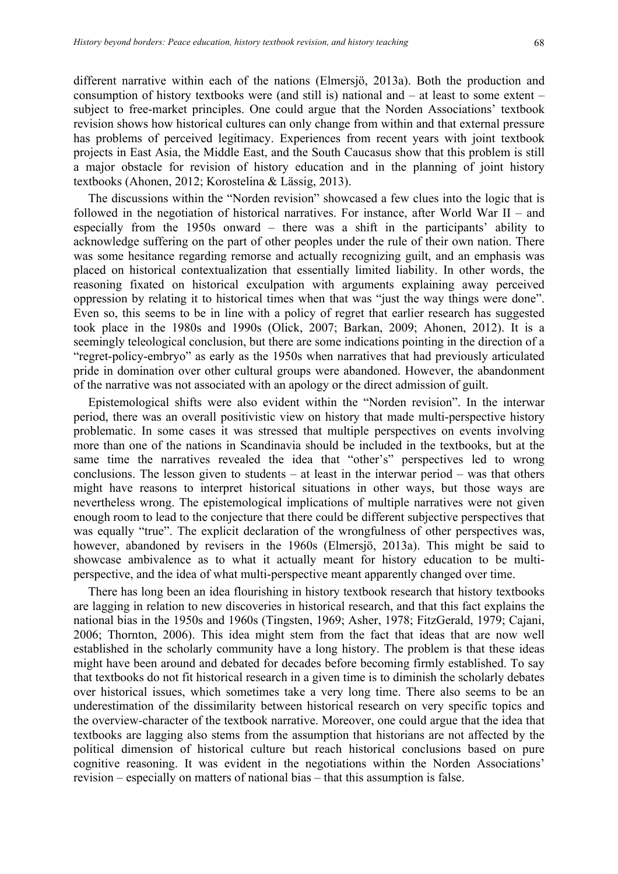different narrative within each of the nations (Elmersjö, 2013a). Both the production and consumption of history textbooks were (and still is) national and – at least to some extent – subject to free-market principles. One could argue that the Norden Associations' textbook revision shows how historical cultures can only change from within and that external pressure has problems of perceived legitimacy. Experiences from recent years with joint textbook projects in East Asia, the Middle East, and the South Caucasus show that this problem is still a major obstacle for revision of history education and in the planning of joint history textbooks (Ahonen, 2012; Korostelina & Lässig, 2013).

The discussions within the "Norden revision" showcased a few clues into the logic that is followed in the negotiation of historical narratives. For instance, after World War II – and especially from the 1950s onward – there was a shift in the participants' ability to acknowledge suffering on the part of other peoples under the rule of their own nation. There was some hesitance regarding remorse and actually recognizing guilt, and an emphasis was placed on historical contextualization that essentially limited liability. In other words, the reasoning fixated on historical exculpation with arguments explaining away perceived oppression by relating it to historical times when that was "just the way things were done". Even so, this seems to be in line with a policy of regret that earlier research has suggested took place in the 1980s and 1990s (Olick, 2007; Barkan, 2009; Ahonen, 2012). It is a seemingly teleological conclusion, but there are some indications pointing in the direction of a "regret-policy-embryo" as early as the 1950s when narratives that had previously articulated pride in domination over other cultural groups were abandoned. However, the abandonment of the narrative was not associated with an apology or the direct admission of guilt.

Epistemological shifts were also evident within the "Norden revision". In the interwar period, there was an overall positivistic view on history that made multi-perspective history problematic. In some cases it was stressed that multiple perspectives on events involving more than one of the nations in Scandinavia should be included in the textbooks, but at the same time the narratives revealed the idea that "other's" perspectives led to wrong conclusions. The lesson given to students – at least in the interwar period – was that others might have reasons to interpret historical situations in other ways, but those ways are nevertheless wrong. The epistemological implications of multiple narratives were not given enough room to lead to the conjecture that there could be different subjective perspectives that was equally "true". The explicit declaration of the wrongfulness of other perspectives was, however, abandoned by revisers in the 1960s (Elmersjö, 2013a). This might be said to showcase ambivalence as to what it actually meant for history education to be multiperspective, and the idea of what multi-perspective meant apparently changed over time.

There has long been an idea flourishing in history textbook research that history textbooks are lagging in relation to new discoveries in historical research, and that this fact explains the national bias in the 1950s and 1960s (Tingsten, 1969; Asher, 1978; FitzGerald, 1979; Cajani, 2006; Thornton, 2006). This idea might stem from the fact that ideas that are now well established in the scholarly community have a long history. The problem is that these ideas might have been around and debated for decades before becoming firmly established. To say that textbooks do not fit historical research in a given time is to diminish the scholarly debates over historical issues, which sometimes take a very long time. There also seems to be an underestimation of the dissimilarity between historical research on very specific topics and the overview-character of the textbook narrative. Moreover, one could argue that the idea that textbooks are lagging also stems from the assumption that historians are not affected by the political dimension of historical culture but reach historical conclusions based on pure cognitive reasoning. It was evident in the negotiations within the Norden Associations' revision – especially on matters of national bias – that this assumption is false.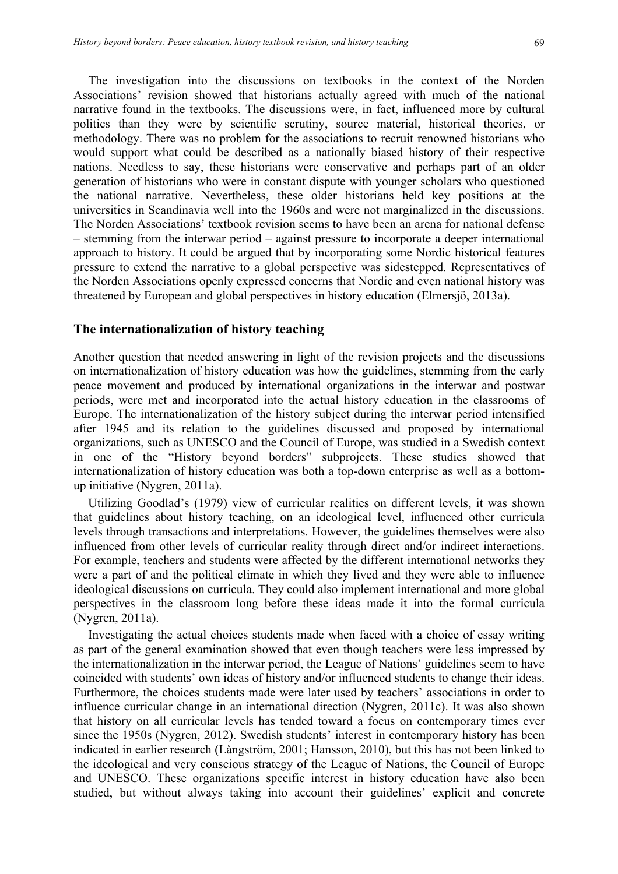The investigation into the discussions on textbooks in the context of the Norden Associations' revision showed that historians actually agreed with much of the national narrative found in the textbooks. The discussions were, in fact, influenced more by cultural politics than they were by scientific scrutiny, source material, historical theories, or methodology. There was no problem for the associations to recruit renowned historians who would support what could be described as a nationally biased history of their respective nations. Needless to say, these historians were conservative and perhaps part of an older generation of historians who were in constant dispute with younger scholars who questioned the national narrative. Nevertheless, these older historians held key positions at the universities in Scandinavia well into the 1960s and were not marginalized in the discussions. The Norden Associations' textbook revision seems to have been an arena for national defense – stemming from the interwar period – against pressure to incorporate a deeper international approach to history. It could be argued that by incorporating some Nordic historical features pressure to extend the narrative to a global perspective was sidestepped. Representatives of the Norden Associations openly expressed concerns that Nordic and even national history was threatened by European and global perspectives in history education (Elmersjö, 2013a).

#### **The internationalization of history teaching**

Another question that needed answering in light of the revision projects and the discussions on internationalization of history education was how the guidelines, stemming from the early peace movement and produced by international organizations in the interwar and postwar periods, were met and incorporated into the actual history education in the classrooms of Europe. The internationalization of the history subject during the interwar period intensified after 1945 and its relation to the guidelines discussed and proposed by international organizations, such as UNESCO and the Council of Europe, was studied in a Swedish context in one of the "History beyond borders" subprojects. These studies showed that internationalization of history education was both a top-down enterprise as well as a bottomup initiative (Nygren, 2011a).

Utilizing Goodlad's (1979) view of curricular realities on different levels, it was shown that guidelines about history teaching, on an ideological level, influenced other curricula levels through transactions and interpretations. However, the guidelines themselves were also influenced from other levels of curricular reality through direct and/or indirect interactions. For example, teachers and students were affected by the different international networks they were a part of and the political climate in which they lived and they were able to influence ideological discussions on curricula. They could also implement international and more global perspectives in the classroom long before these ideas made it into the formal curricula (Nygren, 2011a).

Investigating the actual choices students made when faced with a choice of essay writing as part of the general examination showed that even though teachers were less impressed by the internationalization in the interwar period, the League of Nations' guidelines seem to have coincided with students' own ideas of history and/or influenced students to change their ideas. Furthermore, the choices students made were later used by teachers' associations in order to influence curricular change in an international direction (Nygren, 2011c). It was also shown that history on all curricular levels has tended toward a focus on contemporary times ever since the 1950s (Nygren, 2012). Swedish students' interest in contemporary history has been indicated in earlier research (Långström, 2001; Hansson, 2010), but this has not been linked to the ideological and very conscious strategy of the League of Nations, the Council of Europe and UNESCO. These organizations specific interest in history education have also been studied, but without always taking into account their guidelines' explicit and concrete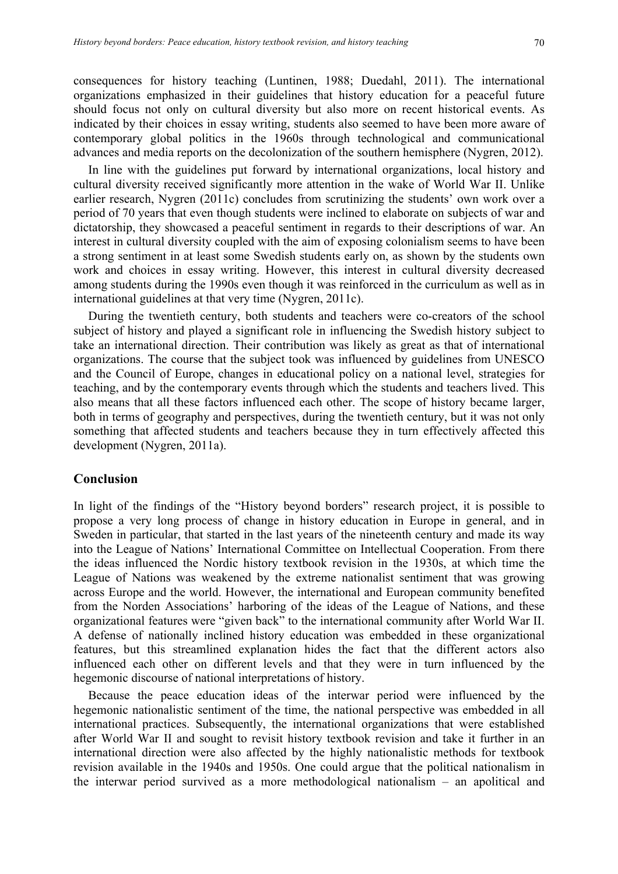consequences for history teaching (Luntinen, 1988; Duedahl, 2011). The international organizations emphasized in their guidelines that history education for a peaceful future should focus not only on cultural diversity but also more on recent historical events. As indicated by their choices in essay writing, students also seemed to have been more aware of contemporary global politics in the 1960s through technological and communicational advances and media reports on the decolonization of the southern hemisphere (Nygren, 2012).

In line with the guidelines put forward by international organizations, local history and cultural diversity received significantly more attention in the wake of World War II. Unlike earlier research, Nygren (2011c) concludes from scrutinizing the students' own work over a period of 70 years that even though students were inclined to elaborate on subjects of war and dictatorship, they showcased a peaceful sentiment in regards to their descriptions of war. An interest in cultural diversity coupled with the aim of exposing colonialism seems to have been a strong sentiment in at least some Swedish students early on, as shown by the students own work and choices in essay writing. However, this interest in cultural diversity decreased among students during the 1990s even though it was reinforced in the curriculum as well as in international guidelines at that very time (Nygren, 2011c).

During the twentieth century, both students and teachers were co-creators of the school subject of history and played a significant role in influencing the Swedish history subject to take an international direction. Their contribution was likely as great as that of international organizations. The course that the subject took was influenced by guidelines from UNESCO and the Council of Europe, changes in educational policy on a national level, strategies for teaching, and by the contemporary events through which the students and teachers lived. This also means that all these factors influenced each other. The scope of history became larger, both in terms of geography and perspectives, during the twentieth century, but it was not only something that affected students and teachers because they in turn effectively affected this development (Nygren, 2011a).

#### **Conclusion**

In light of the findings of the "History beyond borders" research project, it is possible to propose a very long process of change in history education in Europe in general, and in Sweden in particular, that started in the last years of the nineteenth century and made its way into the League of Nations' International Committee on Intellectual Cooperation. From there the ideas influenced the Nordic history textbook revision in the 1930s, at which time the League of Nations was weakened by the extreme nationalist sentiment that was growing across Europe and the world. However, the international and European community benefited from the Norden Associations' harboring of the ideas of the League of Nations, and these organizational features were "given back" to the international community after World War II. A defense of nationally inclined history education was embedded in these organizational features, but this streamlined explanation hides the fact that the different actors also influenced each other on different levels and that they were in turn influenced by the hegemonic discourse of national interpretations of history.

Because the peace education ideas of the interwar period were influenced by the hegemonic nationalistic sentiment of the time, the national perspective was embedded in all international practices. Subsequently, the international organizations that were established after World War II and sought to revisit history textbook revision and take it further in an international direction were also affected by the highly nationalistic methods for textbook revision available in the 1940s and 1950s. One could argue that the political nationalism in the interwar period survived as a more methodological nationalism – an apolitical and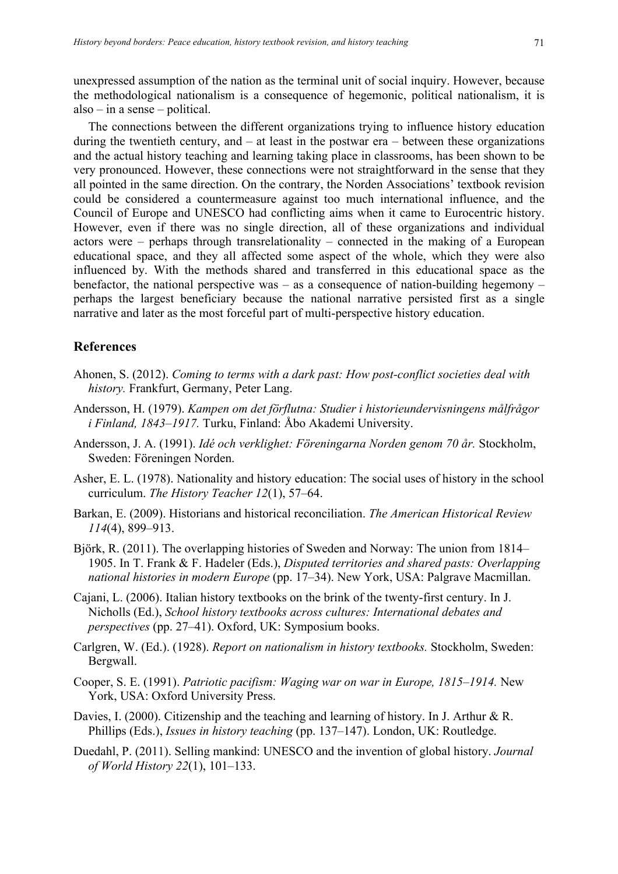unexpressed assumption of the nation as the terminal unit of social inquiry. However, because the methodological nationalism is a consequence of hegemonic, political nationalism, it is also – in a sense – political.

The connections between the different organizations trying to influence history education during the twentieth century, and  $-$  at least in the postwar era  $-$  between these organizations and the actual history teaching and learning taking place in classrooms, has been shown to be very pronounced. However, these connections were not straightforward in the sense that they all pointed in the same direction. On the contrary, the Norden Associations' textbook revision could be considered a countermeasure against too much international influence, and the Council of Europe and UNESCO had conflicting aims when it came to Eurocentric history. However, even if there was no single direction, all of these organizations and individual actors were – perhaps through transrelationality – connected in the making of a European educational space, and they all affected some aspect of the whole, which they were also influenced by. With the methods shared and transferred in this educational space as the benefactor, the national perspective was – as a consequence of nation-building hegemony – perhaps the largest beneficiary because the national narrative persisted first as a single narrative and later as the most forceful part of multi-perspective history education.

#### **References**

- Ahonen, S. (2012). *Coming to terms with a dark past: How post-conflict societies deal with history.* Frankfurt, Germany, Peter Lang.
- Andersson, H. (1979). *Kampen om det förflutna: Studier i historieundervisningens målfrågor i Finland, 1843–1917.* Turku, Finland: Åbo Akademi University.
- Andersson, J. A. (1991). *Idé och verklighet: Föreningarna Norden genom 70 år.* Stockholm, Sweden: Föreningen Norden.
- Asher, E. L. (1978). Nationality and history education: The social uses of history in the school curriculum. *The History Teacher 12*(1), 57–64.
- Barkan, E. (2009). Historians and historical reconciliation. *The American Historical Review 114*(4), 899–913.
- Björk, R. (2011). The overlapping histories of Sweden and Norway: The union from 1814– 1905. In T. Frank & F. Hadeler (Eds.), *Disputed territories and shared pasts: Overlapping national histories in modern Europe* (pp. 17–34). New York, USA: Palgrave Macmillan.
- Cajani, L. (2006). Italian history textbooks on the brink of the twenty-first century. In J. Nicholls (Ed.), *School history textbooks across cultures: International debates and perspectives* (pp. 27–41). Oxford, UK: Symposium books.
- Carlgren, W. (Ed.). (1928). *Report on nationalism in history textbooks.* Stockholm, Sweden: Bergwall.
- Cooper, S. E. (1991). *Patriotic pacifism: Waging war on war in Europe, 1815–1914.* New York, USA: Oxford University Press.
- Davies, I. (2000). Citizenship and the teaching and learning of history. In J. Arthur & R. Phillips (Eds.), *Issues in history teaching* (pp. 137–147). London, UK: Routledge.
- Duedahl, P. (2011). Selling mankind: UNESCO and the invention of global history. *Journal of World History 22*(1), 101–133.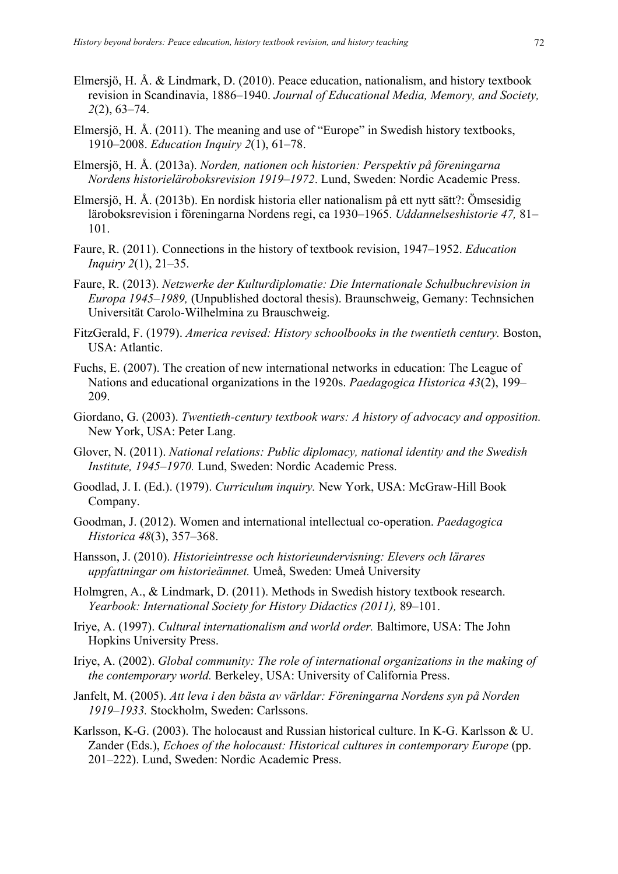- Elmersjö, H. Å. & Lindmark, D. (2010). Peace education, nationalism, and history textbook revision in Scandinavia, 1886–1940. *Journal of Educational Media, Memory, and Society, 2*(2), 63–74.
- Elmersjö, H. Å. (2011). The meaning and use of "Europe" in Swedish history textbooks, 1910–2008. *Education Inquiry 2*(1), 61–78.
- Elmersjö, H. Å. (2013a). *Norden, nationen och historien: Perspektiv på föreningarna Nordens historieläroboksrevision 1919–1972*. Lund, Sweden: Nordic Academic Press.
- Elmersjö, H. Å. (2013b). En nordisk historia eller nationalism på ett nytt sätt?: Ömsesidig läroboksrevision i föreningarna Nordens regi, ca 1930–1965. *Uddannelseshistorie 47,* 81– 101.
- Faure, R. (2011). Connections in the history of textbook revision, 1947–1952. *Education Inquiry 2*(1), 21–35.
- Faure, R. (2013). *Netzwerke der Kulturdiplomatie: Die Internationale Schulbuchrevision in Europa 1945–1989,* (Unpublished doctoral thesis). Braunschweig, Gemany: Technsichen Universität Carolo-Wilhelmina zu Brauschweig.
- FitzGerald, F. (1979). *America revised: History schoolbooks in the twentieth century.* Boston, USA: Atlantic.
- Fuchs, E. (2007). The creation of new international networks in education: The League of Nations and educational organizations in the 1920s. *Paedagogica Historica 43*(2), 199– 209.
- Giordano, G. (2003). *Twentieth-century textbook wars: A history of advocacy and opposition.* New York, USA: Peter Lang.
- Glover, N. (2011). *National relations: Public diplomacy, national identity and the Swedish Institute, 1945–1970.* Lund, Sweden: Nordic Academic Press.
- Goodlad, J. I. (Ed.). (1979). *Curriculum inquiry.* New York, USA: McGraw-Hill Book Company.
- Goodman, J. (2012). Women and international intellectual co-operation. *Paedagogica Historica 48*(3), 357–368.
- Hansson, J. (2010). *Historieintresse och historieundervisning: Elevers och lärares uppfattningar om historieämnet.* Umeå, Sweden: Umeå University
- Holmgren, A., & Lindmark, D. (2011). Methods in Swedish history textbook research. *Yearbook: International Society for History Didactics (2011),* 89–101.
- Iriye, A. (1997). *Cultural internationalism and world order.* Baltimore, USA: The John Hopkins University Press.
- Iriye, A. (2002). *Global community: The role of international organizations in the making of the contemporary world.* Berkeley, USA: University of California Press.
- Janfelt, M. (2005). *Att leva i den bästa av världar: Föreningarna Nordens syn på Norden 1919–1933.* Stockholm, Sweden: Carlssons.
- Karlsson, K-G. (2003). The holocaust and Russian historical culture. In K-G. Karlsson & U. Zander (Eds.), *Echoes of the holocaust: Historical cultures in contemporary Europe* (pp. 201–222). Lund, Sweden: Nordic Academic Press.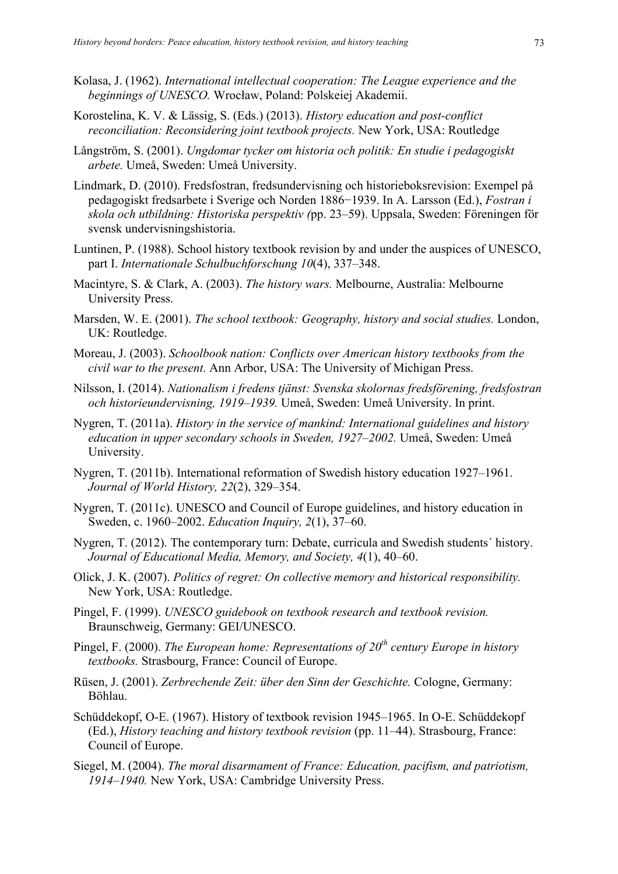- Kolasa, J. (1962). *International intellectual cooperation: The League experience and the beginnings of UNESCO.* Wrocław, Poland: Polskeiej Akademii.
- Korostelina, K. V. & Lässig, S. (Eds.) (2013). *History education and post-conflict reconciliation: Reconsidering joint textbook projects.* New York, USA: Routledge
- Långström, S. (2001). *Ungdomar tycker om historia och politik: En studie i pedagogiskt arbete.* Umeå, Sweden: Umeå University.
- Lindmark, D. (2010). Fredsfostran, fredsundervisning och historieboksrevision: Exempel på pedagogiskt fredsarbete i Sverige och Norden 1886−1939. In A. Larsson (Ed.), *Fostran i skola och utbildning: Historiska perspektiv (*pp. 23–59). Uppsala, Sweden: Föreningen för svensk undervisningshistoria.
- Luntinen, P. (1988). School history textbook revision by and under the auspices of UNESCO, part I. *Internationale Schulbuchforschung 10*(4), 337–348.
- Macintyre, S. & Clark, A. (2003). *The history wars.* Melbourne, Australia: Melbourne University Press.
- Marsden, W. E. (2001). *The school textbook: Geography, history and social studies.* London, UK: Routledge.
- Moreau, J. (2003). *Schoolbook nation: Conflicts over American history textbooks from the civil war to the present.* Ann Arbor, USA: The University of Michigan Press.
- Nilsson, I. (2014). *Nationalism i fredens tjänst: Svenska skolornas fredsförening, fredsfostran och historieundervisning, 1919–1939.* Umeå, Sweden: Umeå University. In print.
- Nygren, T. (2011a). *History in the service of mankind: International guidelines and history education in upper secondary schools in Sweden, 1927–2002.* Umeå, Sweden: Umeå University.
- Nygren, T. (2011b). International reformation of Swedish history education 1927–1961. *Journal of World History, 22*(2), 329–354.
- Nygren, T. (2011c). UNESCO and Council of Europe guidelines, and history education in Sweden, c. 1960–2002. *Education Inquiry, 2*(1), 37–60.
- Nygren, T. (2012). The contemporary turn: Debate, curricula and Swedish students´ history. *Journal of Educational Media, Memory, and Society, 4*(1), 40–60.
- Olick, J. K. (2007). *Politics of regret: On collective memory and historical responsibility.* New York, USA: Routledge.
- Pingel, F. (1999). *UNESCO guidebook on textbook research and textbook revision.* Braunschweig, Germany: GEI/UNESCO.
- Pingel, F. (2000). *The European home: Representations of 20th century Europe in history textbooks.* Strasbourg, France: Council of Europe.
- Rüsen, J. (2001). *Zerbrechende Zeit: über den Sinn der Geschichte.* Cologne, Germany: Böhlau.
- Schüddekopf, O-E. (1967). History of textbook revision 1945–1965. In O-E. Schüddekopf (Ed.), *History teaching and history textbook revision* (pp. 11–44). Strasbourg, France: Council of Europe.
- Siegel, M. (2004). *The moral disarmament of France: Education, pacifism, and patriotism, 1914–1940.* New York, USA: Cambridge University Press.